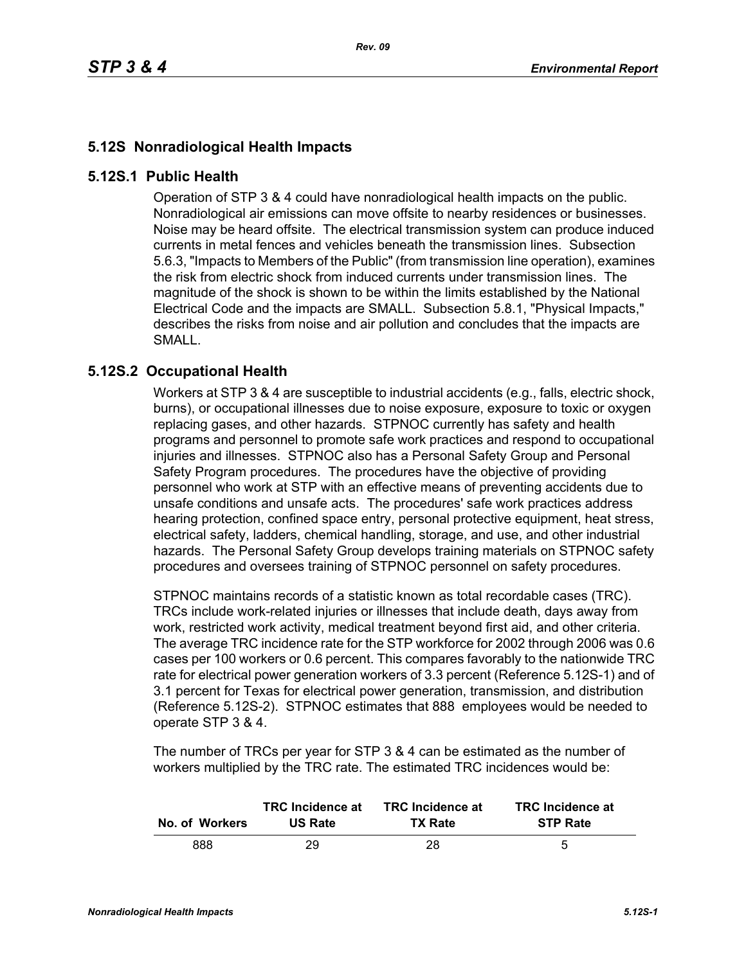## **5.12S Nonradiological Health Impacts**

## **5.12S.1 Public Health**

Operation of STP 3 & 4 could have nonradiological health impacts on the public. Nonradiological air emissions can move offsite to nearby residences or businesses. Noise may be heard offsite. The electrical transmission system can produce induced currents in metal fences and vehicles beneath the transmission lines. Subsection 5.6.3, "Impacts to Members of the Public" (from transmission line operation), examines the risk from electric shock from induced currents under transmission lines. The magnitude of the shock is shown to be within the limits established by the National Electrical Code and the impacts are SMALL. Subsection 5.8.1, "Physical Impacts," describes the risks from noise and air pollution and concludes that the impacts are SMALL.

## **5.12S.2 Occupational Health**

Workers at STP 3 & 4 are susceptible to industrial accidents (e.g., falls, electric shock, burns), or occupational illnesses due to noise exposure, exposure to toxic or oxygen replacing gases, and other hazards. STPNOC currently has safety and health programs and personnel to promote safe work practices and respond to occupational injuries and illnesses. STPNOC also has a Personal Safety Group and Personal Safety Program procedures. The procedures have the objective of providing personnel who work at STP with an effective means of preventing accidents due to unsafe conditions and unsafe acts. The procedures' safe work practices address hearing protection, confined space entry, personal protective equipment, heat stress, electrical safety, ladders, chemical handling, storage, and use, and other industrial hazards. The Personal Safety Group develops training materials on STPNOC safety procedures and oversees training of STPNOC personnel on safety procedures.

STPNOC maintains records of a statistic known as total recordable cases (TRC). TRCs include work-related injuries or illnesses that include death, days away from work, restricted work activity, medical treatment beyond first aid, and other criteria. The average TRC incidence rate for the STP workforce for 2002 through 2006 was 0.6 cases per 100 workers or 0.6 percent. This compares favorably to the nationwide TRC rate for electrical power generation workers of 3.3 percent (Reference 5.12S-1) and of 3.1 percent for Texas for electrical power generation, transmission, and distribution (Reference 5.12S-2). STPNOC estimates that 888 employees would be needed to operate STP 3 & 4.

The number of TRCs per year for STP 3 & 4 can be estimated as the number of workers multiplied by the TRC rate. The estimated TRC incidences would be:

| No. of Workers | <b>TRC</b> Incidence at | <b>TRC</b> Incidence at | <b>TRC</b> Incidence at |
|----------------|-------------------------|-------------------------|-------------------------|
|                | <b>US Rate</b>          | <b>TX Rate</b>          | <b>STP Rate</b>         |
| 888            | 29                      | 28                      | 5                       |